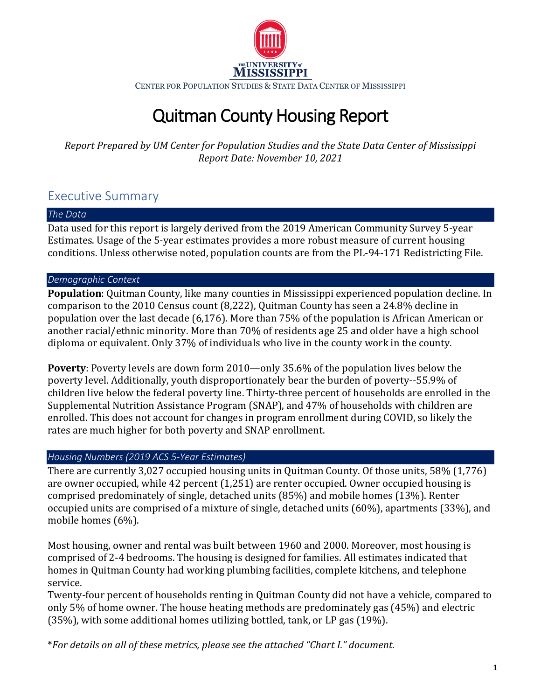

CENTER FOR POPULATION STUDIES & STATE DATA CENTER OF MISSISSIPPI

# Quitman County Housing Report

*Report Prepared by UM Center for Population Studies and the State Data Center of Mississippi Report Date: November 10, 2021*

# Executive Summary

#### *The Data*

Data used for this report is largely derived from the 2019 American Community Survey 5-year Estimates. Usage of the 5-year estimates provides a more robust measure of current housing conditions. Unless otherwise noted, population counts are from the PL-94-171 Redistricting File.

# *Demographic Context*

**Population**: Quitman County, like many counties in Mississippi experienced population decline. In comparison to the 2010 Census count (8,222), Quitman County has seen a 24.8% decline in population over the last decade (6,176). More than 75% of the population is African American or another racial/ethnic minority. More than 70% of residents age 25 and older have a high school diploma or equivalent. Only 37% of individuals who live in the county work in the county.

**Poverty**: Poverty levels are down form 2010—only 35.6% of the population lives below the poverty level. Additionally, youth disproportionately bear the burden of poverty--55.9% of children live below the federal poverty line. Thirty-three percent of households are enrolled in the Supplemental Nutrition Assistance Program (SNAP), and 47% of households with children are enrolled. This does not account for changes in program enrollment during COVID, so likely the rates are much higher for both poverty and SNAP enrollment.

# *Housing Numbers (2019 ACS 5-Year Estimates)*

There are currently 3,027 occupied housing units in Quitman County. Of those units, 58% (1,776) are owner occupied, while 42 percent (1,251) are renter occupied. Owner occupied housing is comprised predominately of single, detached units (85%) and mobile homes (13%). Renter occupied units are comprised of a mixture of single, detached units (60%), apartments (33%), and mobile homes (6%).

Most housing, owner and rental was built between 1960 and 2000. Moreover, most housing is comprised of 2-4 bedrooms. The housing is designed for families. All estimates indicated that homes in Quitman County had working plumbing facilities, complete kitchens, and telephone service.

Twenty-four percent of households renting in Quitman County did not have a vehicle, compared to only 5% of home owner. The house heating methods are predominately gas (45%) and electric (35%), with some additional homes utilizing bottled, tank, or LP gas (19%).

\**For details on all of these metrics, please see the attached "Chart I." document*.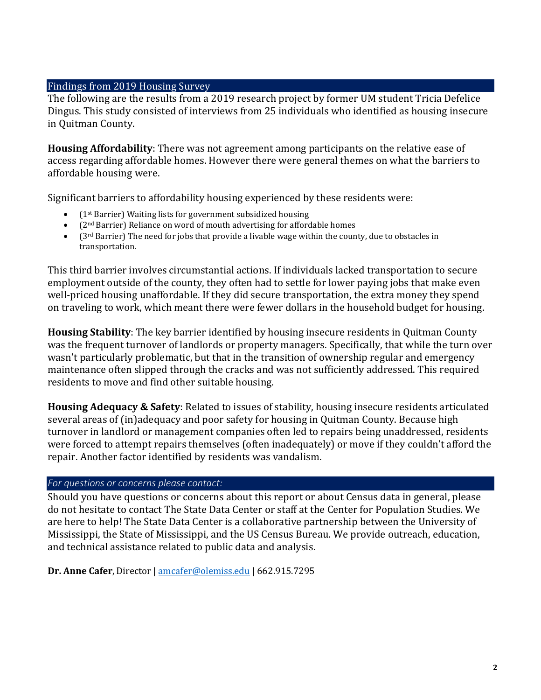#### Findings from 2019 Housing Survey

The following are the results from a 2019 research project by former UM student Tricia Defelice Dingus. This study consisted of interviews from 25 individuals who identified as housing insecure in Quitman County.

**Housing Affordability**: There was not agreement among participants on the relative ease of access regarding affordable homes. However there were general themes on what the barriers to affordable housing were.

Significant barriers to affordability housing experienced by these residents were:

- (1st Barrier) Waiting lists for government subsidized housing
- (2nd Barrier) Reliance on word of mouth advertising for affordable homes
- $(3^{rd}$  Barrier) The need for jobs that provide a livable wage within the county, due to obstacles in transportation.

This third barrier involves circumstantial actions. If individuals lacked transportation to secure employment outside of the county, they often had to settle for lower paying jobs that make even well-priced housing unaffordable. If they did secure transportation, the extra money they spend on traveling to work, which meant there were fewer dollars in the household budget for housing.

**Housing Stability**: The key barrier identified by housing insecure residents in Quitman County was the frequent turnover of landlords or property managers. Specifically, that while the turn over wasn't particularly problematic, but that in the transition of ownership regular and emergency maintenance often slipped through the cracks and was not sufficiently addressed. This required residents to move and find other suitable housing.

**Housing Adequacy & Safety**: Related to issues of stability, housing insecure residents articulated several areas of (in)adequacy and poor safety for housing in Quitman County. Because high turnover in landlord or management companies often led to repairs being unaddressed, residents were forced to attempt repairs themselves (often inadequately) or move if they couldn't afford the repair. Another factor identified by residents was vandalism.

# *For questions or concerns please contact:*

Should you have questions or concerns about this report or about Census data in general, please do not hesitate to contact The State Data Center or staff at the Center for Population Studies. We are here to help! The State Data Center is a collaborative partnership between the University of Mississippi, the State of Mississippi, and the US Census Bureau. We provide outreach, education, and technical assistance related to public data and analysis.

**Dr. Anne Cafer**, Director | [amcafer@olemiss.edu](mailto:amcafer@olemiss.edu) | 662.915.7295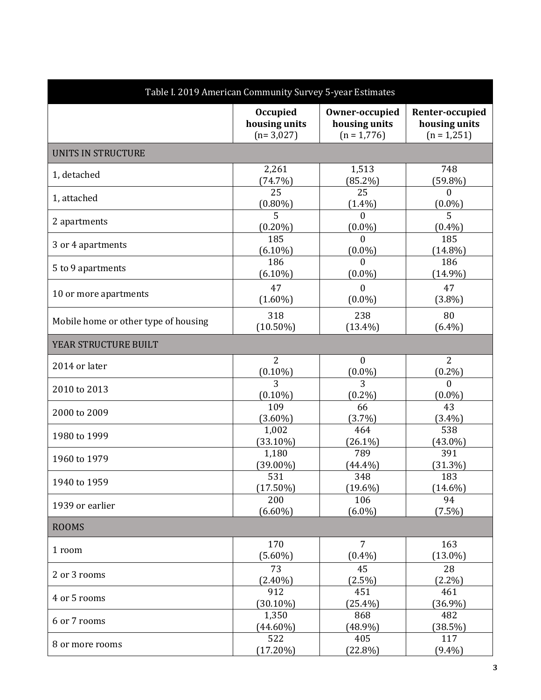| Table I. 2019 American Community Survey 5-year Estimates |                 |                |                 |  |
|----------------------------------------------------------|-----------------|----------------|-----------------|--|
|                                                          | <b>Occupied</b> | Owner-occupied | Renter-occupied |  |
|                                                          | housing units   | housing units  | housing units   |  |
|                                                          | $(n=3,027)$     | $(n = 1,776)$  | $(n = 1,251)$   |  |
| <b>UNITS IN STRUCTURE</b>                                |                 |                |                 |  |
| 1, detached                                              | 2,261           | 1,513          | 748             |  |
|                                                          | (74.7%)         | $(85.2\%)$     | $(59.8\%)$      |  |
| 1, attached                                              | 25              | 25             | $\mathbf{0}$    |  |
|                                                          | $(0.80\%)$      | $(1.4\%)$      | $(0.0\%)$       |  |
| 2 apartments                                             | 5               | $\Omega$       | 5               |  |
|                                                          | $(0.20\%)$      | $(0.0\%)$      | $(0.4\%)$       |  |
| 3 or 4 apartments                                        | 185             | $\mathbf{0}$   | 185             |  |
|                                                          | $(6.10\%)$      | $(0.0\%)$      | $(14.8\%)$      |  |
| 5 to 9 apartments                                        | 186             | $\theta$       | 186             |  |
|                                                          | $(6.10\%)$      | $(0.0\%)$      | $(14.9\%)$      |  |
| 10 or more apartments                                    | 47              | $\Omega$       | 47              |  |
|                                                          | $(1.60\%)$      | $(0.0\%)$      | $(3.8\%)$       |  |
| Mobile home or other type of housing                     | 318             | 238            | 80              |  |
|                                                          | $(10.50\%)$     | $(13.4\%)$     | $(6.4\%)$       |  |
| YEAR STRUCTURE BUILT                                     |                 |                |                 |  |
| 2014 or later                                            | $\overline{2}$  | $\mathbf{0}$   | $\overline{2}$  |  |
|                                                          | $(0.10\%)$      | $(0.0\%)$      | $(0.2\%)$       |  |
| 2010 to 2013                                             | 3               | 3              | $\Omega$        |  |
|                                                          | $(0.10\%)$      | $(0.2\%)$      | $(0.0\%)$       |  |
| 2000 to 2009                                             | 109             | 66             | 43              |  |
|                                                          | $(3.60\%)$      | $(3.7\%)$      | $(3.4\%)$       |  |
| 1980 to 1999                                             | 1,002           | 464            | 538             |  |
|                                                          | $(33.10\%)$     | $(26.1\%)$     | $(43.0\%)$      |  |
| 1960 to 1979                                             | 1,180           | 789            | 391             |  |
|                                                          | $(39.00\%)$     | $(44.4\%)$     | (31.3%)         |  |
| 1940 to 1959                                             | 531             | 348            | 183             |  |
|                                                          | $(17.50\%)$     | $(19.6\%)$     | $(14.6\%)$      |  |
| 1939 or earlier                                          | 200             | 106            | 94              |  |
|                                                          | $(6.60\%)$      | $(6.0\%)$      | $(7.5\%)$       |  |
| <b>ROOMS</b>                                             |                 |                |                 |  |
| 1 room                                                   | 170             | $\overline{7}$ | 163             |  |
|                                                          | $(5.60\%)$      | $(0.4\%)$      | $(13.0\%)$      |  |
| 2 or 3 rooms                                             | 73              | 45             | 28              |  |
|                                                          | $(2.40\%)$      | (2.5%)         | $(2.2\%)$       |  |
| 4 or 5 rooms                                             | 912             | 451            | 461             |  |
|                                                          | $(30.10\%)$     | $(25.4\%)$     | $(36.9\%)$      |  |
| 6 or 7 rooms                                             | 1,350           | 868            | 482             |  |
|                                                          | $(44.60\%)$     | $(48.9\%)$     | (38.5%)         |  |
| 8 or more rooms                                          | 522             | 405            | 117             |  |
|                                                          | $(17.20\%)$     | $(22.8\%)$     | $(9.4\%)$       |  |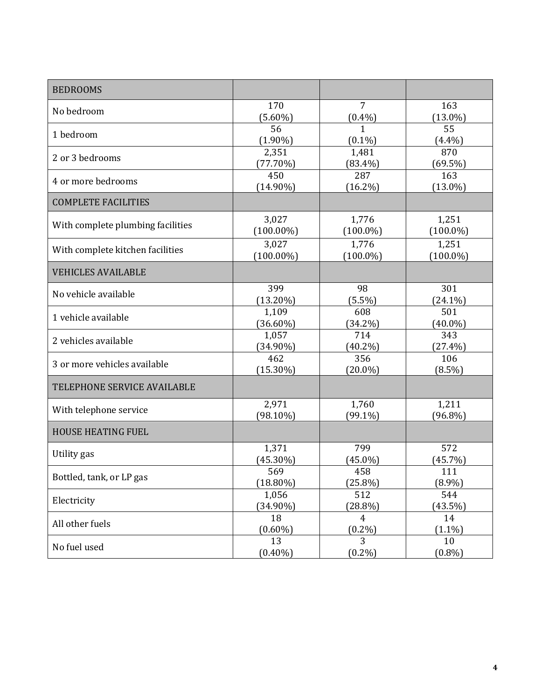| <b>BEDROOMS</b>                   |                       |                           |                      |
|-----------------------------------|-----------------------|---------------------------|----------------------|
| No bedroom                        | 170                   | 7                         | 163                  |
|                                   | $(5.60\%)$<br>56      | $(0.4\%)$<br>$\mathbf{1}$ | $(13.0\%)$<br>55     |
| 1 bedroom                         | $(1.90\%)$            | $(0.1\%)$                 | $(4.4\%)$            |
| 2 or 3 bedrooms                   | 2,351                 | 1,481                     | 870                  |
|                                   | (77.70%)<br>450       | $(83.4\%)$<br>287         | (69.5%)<br>163       |
| 4 or more bedrooms                | $(14.90\%)$           | $(16.2\%)$                | $(13.0\%)$           |
| <b>COMPLETE FACILITIES</b>        |                       |                           |                      |
| With complete plumbing facilities | 3,027                 | 1,776                     | 1,251                |
|                                   | $(100.00\%)$          | $(100.0\%)$               | $(100.0\%)$          |
| With complete kitchen facilities  | 3,027<br>$(100.00\%)$ | 1,776<br>$(100.0\%)$      | 1,251<br>$(100.0\%)$ |
| <b>VEHICLES AVAILABLE</b>         |                       |                           |                      |
| No vehicle available              | 399                   | 98                        | 301                  |
|                                   | $(13.20\%)$           | $(5.5\%)$                 | $(24.1\%)$           |
| 1 vehicle available               | 1,109                 | 608                       | 501                  |
|                                   | $(36.60\%)$<br>1,057  | $(34.2\%)$                | $(40.0\%)$           |
| 2 vehicles available              | $(34.90\%)$           | 714<br>$(40.2\%)$         | 343<br>$(27.4\%)$    |
| 3 or more vehicles available      | 462                   | 356                       | 106                  |
|                                   | $(15.30\%)$           | $(20.0\%)$                | $(8.5\%)$            |
| TELEPHONE SERVICE AVAILABLE       |                       |                           |                      |
| With telephone service            | 2,971                 | 1,760                     | 1,211                |
|                                   | $(98.10\%)$           | $(99.1\%)$                | $(96.8\%)$           |
| <b>HOUSE HEATING FUEL</b>         |                       |                           |                      |
| Utility gas                       | 1,371                 | 799                       | 572                  |
|                                   | $(45.30\%)$           | $(45.0\%)$                | (45.7%)              |
| Bottled, tank, or LP gas          | 569<br>$(18.80\%)$    | 458<br>$(25.8\%)$         | 111<br>$(8.9\%)$     |
| Electricity                       | 1,056                 | 512                       | 544                  |
|                                   | $(34.90\%)$           | $(28.8\%)$                | (43.5%)              |
| All other fuels                   | 18                    | $\overline{4}$            | 14                   |
|                                   | $(0.60\%)$            | $(0.2\%)$                 | $(1.1\%)$            |
| No fuel used                      | 13                    | 3<br>$(0.2\%)$            | 10                   |
|                                   | $(0.40\%)$            |                           | $(0.8\%)$            |